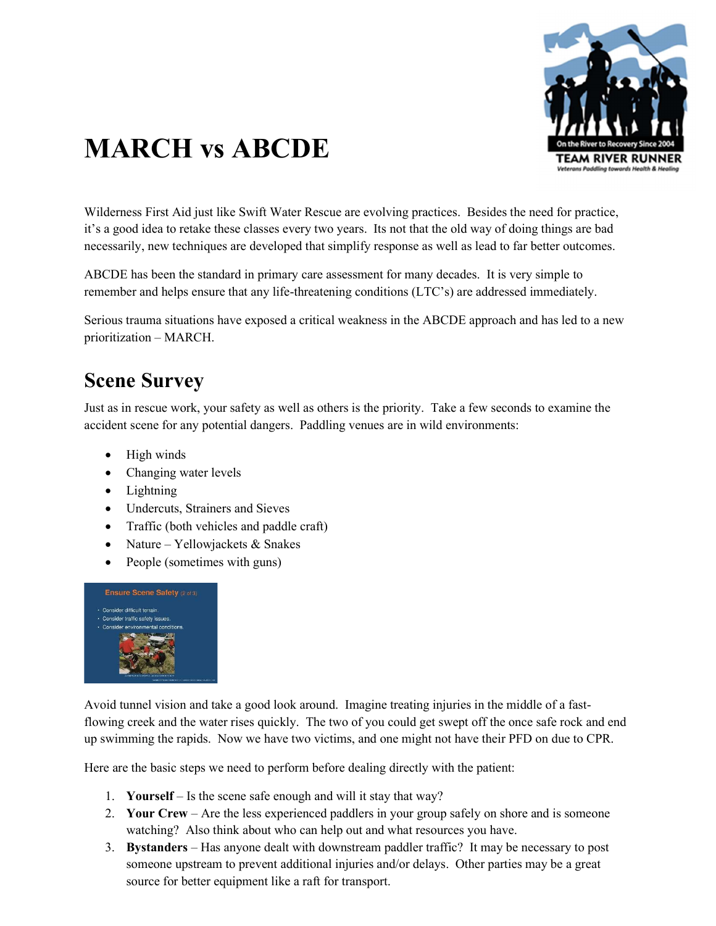

# MARCH vs ABCDE

Wilderness First Aid just like Swift Water Rescue are evolving practices. Besides the need for practice, it's a good idea to retake these classes every two years. Its not that the old way of doing things are bad necessarily, new techniques are developed that simplify response as well as lead to far better outcomes.

ABCDE has been the standard in primary care assessment for many decades. It is very simple to remember and helps ensure that any life-threatening conditions (LTC's) are addressed immediately.

Serious trauma situations have exposed a critical weakness in the ABCDE approach and has led to a new prioritization – MARCH.

#### Scene Survey

Just as in rescue work, your safety as well as others is the priority. Take a few seconds to examine the accident scene for any potential dangers. Paddling venues are in wild environments:

- High winds
- Changing water levels
- Lightning
- Undercuts, Strainers and Sieves
- Traffic (both vehicles and paddle craft)
- Nature Yellowjackets  $&$  Snakes
- People (sometimes with guns)



Avoid tunnel vision and take a good look around. Imagine treating injuries in the middle of a fastflowing creek and the water rises quickly. The two of you could get swept off the once safe rock and end up swimming the rapids. Now we have two victims, and one might not have their PFD on due to CPR.

Here are the basic steps we need to perform before dealing directly with the patient:

- 1. Yourself Is the scene safe enough and will it stay that way?
- 2. Your Crew Are the less experienced paddlers in your group safely on shore and is someone watching? Also think about who can help out and what resources you have.
- 3. Bystanders Has anyone dealt with downstream paddler traffic? It may be necessary to post someone upstream to prevent additional injuries and/or delays. Other parties may be a great source for better equipment like a raft for transport.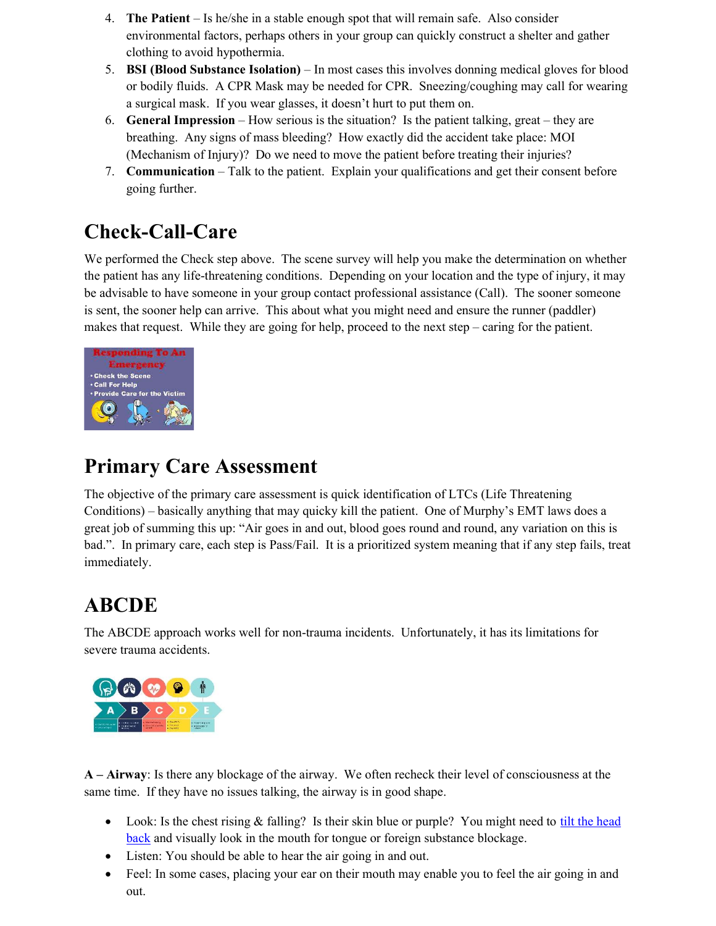- 4. The Patient Is he/she in a stable enough spot that will remain safe. Also consider environmental factors, perhaps others in your group can quickly construct a shelter and gather clothing to avoid hypothermia.
- 5. BSI (Blood Substance Isolation) In most cases this involves donning medical gloves for blood or bodily fluids. A CPR Mask may be needed for CPR. Sneezing/coughing may call for wearing a surgical mask. If you wear glasses, it doesn't hurt to put them on.
- 6. General Impression How serious is the situation? Is the patient talking, great they are breathing. Any signs of mass bleeding? How exactly did the accident take place: MOI (Mechanism of Injury)? Do we need to move the patient before treating their injuries?
- 7. Communication Talk to the patient. Explain your qualifications and get their consent before going further.

### Check-Call-Care

We performed the Check step above. The scene survey will help you make the determination on whether the patient has any life-threatening conditions. Depending on your location and the type of injury, it may be advisable to have someone in your group contact professional assistance (Call). The sooner someone is sent, the sooner help can arrive. This about what you might need and ensure the runner (paddler) makes that request. While they are going for help, proceed to the next step – caring for the patient.



### Primary Care Assessment

The objective of the primary care assessment is quick identification of LTCs (Life Threatening Conditions) – basically anything that may quicky kill the patient. One of Murphy's EMT laws does a great job of summing this up: "Air goes in and out, blood goes round and round, any variation on this is bad.". In primary care, each step is Pass/Fail. It is a prioritized system meaning that if any step fails, treat immediately.

## **ABCDE**

The ABCDE approach works well for non-trauma incidents. Unfortunately, it has its limitations for severe trauma accidents.



A – Airway: Is there any blockage of the airway. We often recheck their level of consciousness at the same time. If they have no issues talking, the airway is in good shape.

- Look: Is the chest rising  $&$  falling? Is their skin blue or purple? You might need to tilt the head back and visually look in the mouth for tongue or foreign substance blockage.
- Listen: You should be able to hear the air going in and out.
- Feel: In some cases, placing your ear on their mouth may enable you to feel the air going in and out.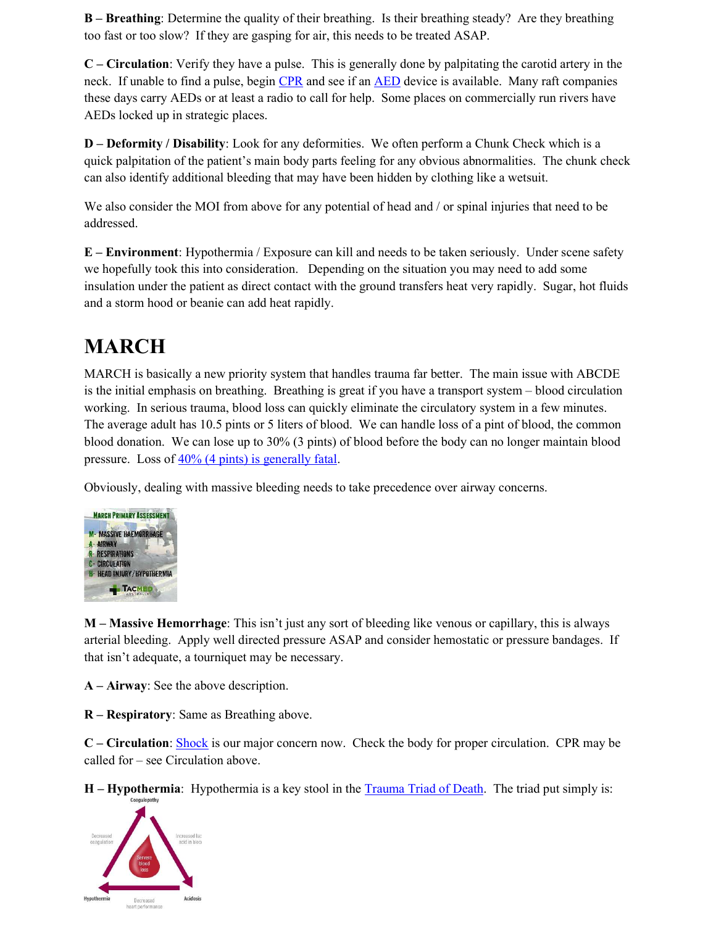B – Breathing: Determine the quality of their breathing. Is their breathing steady? Are they breathing too fast or too slow? If they are gasping for air, this needs to be treated ASAP.

C – Circulation: Verify they have a pulse. This is generally done by palpitating the carotid artery in the neck. If unable to find a pulse, begin CPR and see if an AED device is available. Many raft companies these days carry AEDs or at least a radio to call for help. Some places on commercially run rivers have AEDs locked up in strategic places.

D – Deformity / Disability: Look for any deformities. We often perform a Chunk Check which is a quick palpitation of the patient's main body parts feeling for any obvious abnormalities. The chunk check can also identify additional bleeding that may have been hidden by clothing like a wetsuit.

We also consider the MOI from above for any potential of head and / or spinal injuries that need to be addressed.

E – Environment: Hypothermia / Exposure can kill and needs to be taken seriously. Under scene safety we hopefully took this into consideration. Depending on the situation you may need to add some insulation under the patient as direct contact with the ground transfers heat very rapidly. Sugar, hot fluids and a storm hood or beanie can add heat rapidly.

## MARCH

MARCH is basically a new priority system that handles trauma far better. The main issue with ABCDE is the initial emphasis on breathing. Breathing is great if you have a transport system – blood circulation working. In serious trauma, blood loss can quickly eliminate the circulatory system in a few minutes. The average adult has 10.5 pints or 5 liters of blood. We can handle loss of a pint of blood, the common blood donation. We can lose up to 30% (3 pints) of blood before the body can no longer maintain blood pressure. Loss of 40% (4 pints) is generally fatal.

Obviously, dealing with massive bleeding needs to take precedence over airway concerns.



M – Massive Hemorrhage: This isn't just any sort of bleeding like venous or capillary, this is always arterial bleeding. Apply well directed pressure ASAP and consider hemostatic or pressure bandages. If that isn't adequate, a tourniquet may be necessary.

A – Airway: See the above description.

R – Respiratory: Same as Breathing above.

C – Circulation: Shock is our major concern now. Check the body for proper circulation. CPR may be called for – see Circulation above.

H – Hypothermia: Hypothermia is a key stool in the Trauma Triad of Death. The triad put simply is: